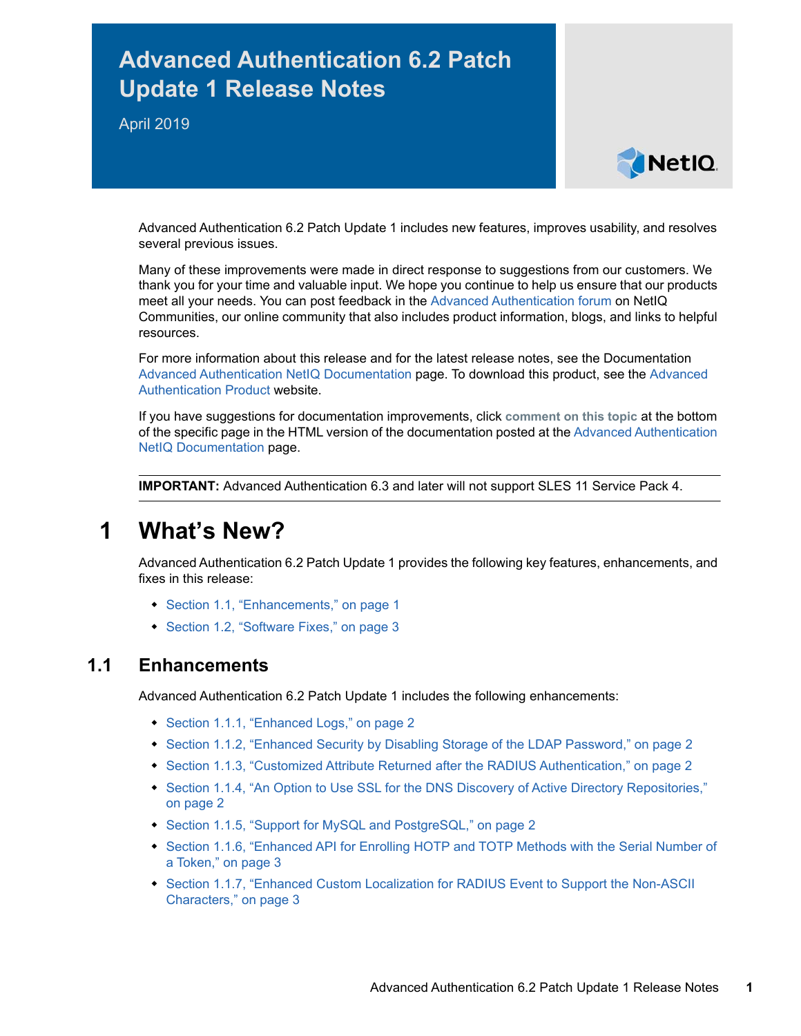# **Advanced Authentication 6.2 Patch Update 1 Release Notes**

April 2019



Advanced Authentication 6.2 Patch Update 1 includes new features, improves usability, and resolves several previous issues.

Many of these improvements were made in direct response to suggestions from our customers. We thank you for your time and valuable input. We hope you continue to help us ensure that our products meet all your needs. You can post feedback in the [Advanced Authentication forum](https://forums.novell.com/forumdisplay.php/1374-Advanced-Authentication) on NetIQ Communities, our online community that also includes product information, blogs, and links to helpful resources.

For more information about this release and for the latest release notes, see the Documentation [Advanced Authentication NetIQ Documentation](https://www.netiq.com/documentation/advanced-authentication-62/) page. To download this product, see the [Advanced](https://www.netiq.com/products/advanced-authentication-framework/)  [Authentication Product](https://www.netiq.com/products/advanced-authentication-framework/) website.

If you have suggestions for documentation improvements, click **comment on this topic** at the bottom of the specific page in the HTML version of the documentation posted at the [Advanced Authentication](https://www.netiq.com/documentation/advanced-authentication-62/)  [NetIQ Documentation](https://www.netiq.com/documentation/advanced-authentication-62/) page.

**IMPORTANT:** Advanced Authentication 6.3 and later will not support SLES 11 Service Pack 4.

# **1 What's New?**

Advanced Authentication 6.2 Patch Update 1 provides the following key features, enhancements, and fixes in this release:

- [Section 1.1, "Enhancements," on page 1](#page-0-0)
- [Section 1.2, "Software Fixes," on page 3](#page-2-0)

# <span id="page-0-0"></span>**1.1 Enhancements**

Advanced Authentication 6.2 Patch Update 1 includes the following enhancements:

- ◆ [Section 1.1.1, "Enhanced Logs," on page 2](#page-1-0)
- [Section 1.1.2, "Enhanced Security by Disabling Storage of the LDAP Password," on page 2](#page-1-1)
- [Section 1.1.3, "Customized Attribute Returned after the RADIUS Authentication," on page 2](#page-1-2)
- Section 1.1.4, "An Option to Use SSL for the DNS Discovery of Active Directory Repositories," [on page 2](#page-1-3)
- ◆ [Section 1.1.5, "Support for MySQL and PostgreSQL," on page 2](#page-1-4)
- **Section 1.1.6, "Enhanced API for Enrolling HOTP and TOTP Methods with the Serial Number of** [a Token," on page 3](#page-2-1)
- **Section 1.1.7, "Enhanced Custom Localization for RADIUS Event to Support the Non-ASCII** [Characters," on page 3](#page-2-2)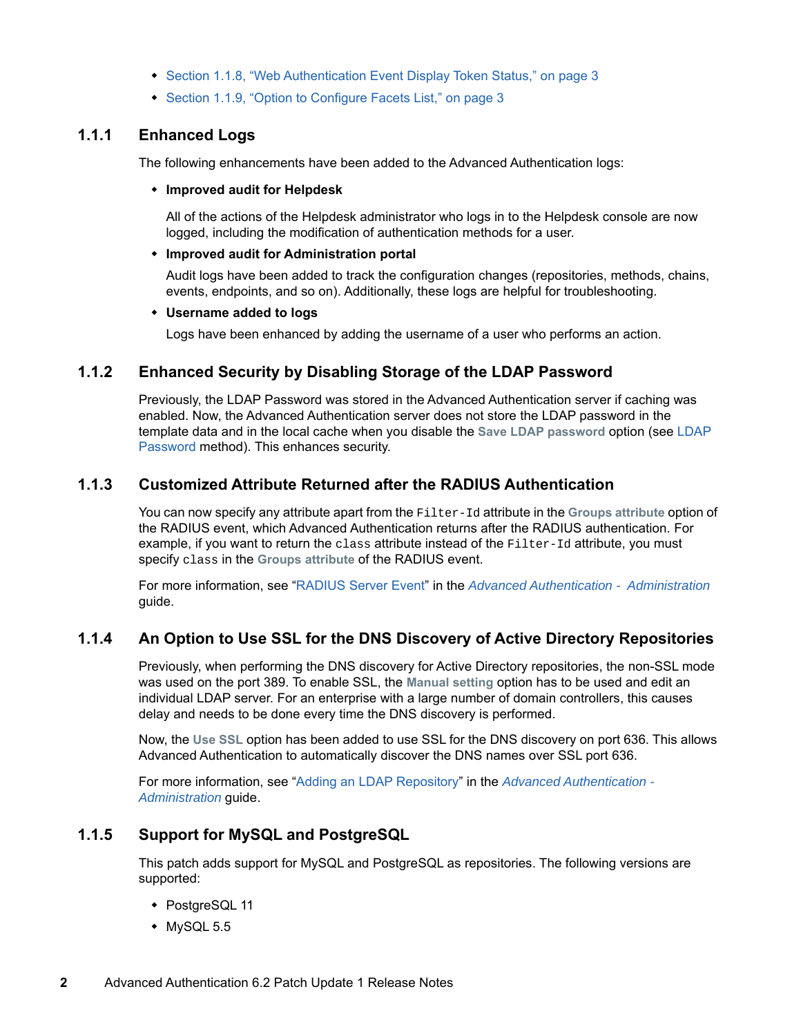- [Section 1.1.8, "Web Authentication Event Display Token Status," on page 3](#page-2-4)
- [Section 1.1.9, "Option to Configure Facets List," on page 3](#page-2-3)

### <span id="page-1-0"></span>**1.1.1 Enhanced Logs**

The following enhancements have been added to the Advanced Authentication logs:

#### **Improved audit for Helpdesk**

All of the actions of the Helpdesk administrator who logs in to the Helpdesk console are now logged, including the modification of authentication methods for a user.

#### **Improved audit for Administration portal**

Audit logs have been added to track the configuration changes (repositories, methods, chains, events, endpoints, and so on). Additionally, these logs are helpful for troubleshooting.

#### **Username added to logs**

Logs have been enhanced by adding the username of a user who performs an action.

## <span id="page-1-1"></span>**1.1.2 Enhanced Security by Disabling Storage of the LDAP Password**

Previously, the LDAP Password was stored in the Advanced Authentication server if caching was enabled. Now, the Advanced Authentication server does not store the LDAP password in the template data and in the local cache when you disable the **Save LDAP password** option (see [LDAP](https://www.netiq.com/documentation/advanced-authentication-62/pdfdoc/server-administrator-guide/server-administrator-guide.pdf#t44gq8wcug0b)  Password method). This enhances security.

# <span id="page-1-2"></span>**1.1.3 Customized Attribute Returned after the RADIUS Authentication**

You can now specify any attribute apart from the Filter-Id attribute in the **Groups attribute** option of the RADIUS event, which Advanced Authentication returns after the RADIUS authentication. For example, if you want to return the class attribute instead of the Filter-Id attribute, you must specify class in the **Groups attribute** of the RADIUS event.

For more information, see ["RADIUS Server Event"](https://www.netiq.com/documentation/advanced-authentication-62/pdfdoc/server-administrator-guide/server-administrator-guide.pdf#t437bmt4niw8) in the *[Advanced Authentication - Administration](https://www.netiq.com/documentation/advanced-authentication-62/pdfdoc/server-administrator-guide/server-administrator-guide.pdf#bookinfo)* guide.

### <span id="page-1-3"></span>**1.1.4 An Option to Use SSL for the DNS Discovery of Active Directory Repositories**

Previously, when performing the DNS discovery for Active Directory repositories, the non-SSL mode was used on the port 389. To enable SSL, the **Manual setting** option has to be used and edit an individual LDAP server. For an enterprise with a large number of domain controllers, this causes delay and needs to be done every time the DNS discovery is performed.

Now, the **Use SSL** option has been added to use SSL for the DNS discovery on port 636. This allows Advanced Authentication to automatically discover the DNS names over SSL port 636.

For more information, see ["Adding an LDAP Repository"](https://www.netiq.com/documentation/advanced-authentication-62/pdfdoc/server-administrator-guide/server-administrator-guide.pdf#t45gidaiqiqo) in the *[Advanced Authentication -](https://www.netiq.com/documentation/advanced-authentication-62/pdfdoc/server-administrator-guide/server-administrator-guide.pdf#bookinfo)  Administration* guide.

# <span id="page-1-4"></span>**1.1.5 Support for MySQL and PostgreSQL**

This patch adds support for MySQL and PostgreSQL as repositories. The following versions are supported:

- PostgreSQL 11
- MySQL 5.5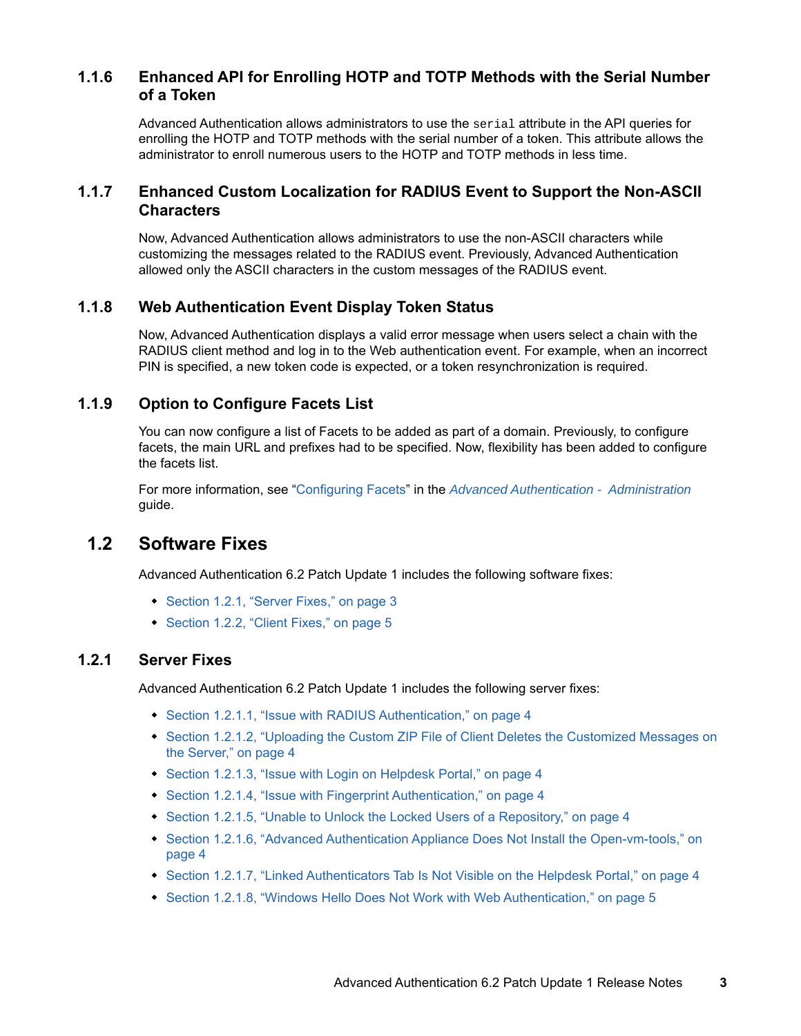# <span id="page-2-1"></span>**1.1.6 Enhanced API for Enrolling HOTP and TOTP Methods with the Serial Number of a Token**

Advanced Authentication allows administrators to use the serial attribute in the API queries for enrolling the HOTP and TOTP methods with the serial number of a token. This attribute allows the administrator to enroll numerous users to the HOTP and TOTP methods in less time.

# <span id="page-2-2"></span>**1.1.7 Enhanced Custom Localization for RADIUS Event to Support the Non-ASCII Characters**

Now, Advanced Authentication allows administrators to use the non-ASCII characters while customizing the messages related to the RADIUS event. Previously, Advanced Authentication allowed only the ASCII characters in the custom messages of the RADIUS event.

## <span id="page-2-4"></span>**1.1.8 Web Authentication Event Display Token Status**

Now, Advanced Authentication displays a valid error message when users select a chain with the RADIUS client method and log in to the Web authentication event. For example, when an incorrect PIN is specified, a new token code is expected, or a token resynchronization is required.

# <span id="page-2-3"></span>**1.1.9 Option to Configure Facets List**

You can now configure a list of Facets to be added as part of a domain. Previously, to configure facets, the main URL and prefixes had to be specified. Now, flexibility has been added to configure the facets list.

For more information, see ["Configuring Facets](https://www.netiq.com/documentation/advanced-authentication-62/pdfdoc/server-administrator-guide/server-administrator-guide.pdf#t461xmi9s4td)" in the *[Advanced Authentication - Administration](https://www.netiq.com/documentation/advanced-authentication-62/pdfdoc/server-administrator-guide/server-administrator-guide.pdf#bookinfo)* guide.

# <span id="page-2-0"></span>**1.2 Software Fixes**

Advanced Authentication 6.2 Patch Update 1 includes the following software fixes:

- [Section 1.2.1, "Server Fixes," on page 3](#page-2-5)
- ◆ [Section 1.2.2, "Client Fixes," on page 5](#page-4-0)

### <span id="page-2-5"></span>**1.2.1 Server Fixes**

Advanced Authentication 6.2 Patch Update 1 includes the following server fixes:

- [Section 1.2.1.1, "Issue with RADIUS Authentication," on page 4](#page-3-0)
- [Section 1.2.1.2, "Uploading the Custom ZIP File of Client Deletes the Customized Messages on](#page-3-1)  [the Server," on page 4](#page-3-1)
- ◆ [Section 1.2.1.3, "Issue with Login on Helpdesk Portal," on page 4](#page-3-2)
- [Section 1.2.1.4, "Issue with Fingerprint Authentication," on page 4](#page-3-3)
- [Section 1.2.1.5, "Unable to Unlock the Locked Users of a Repository," on page 4](#page-3-4)
- [Section 1.2.1.6, "Advanced Authentication Appliance Does Not Install the Open-vm-tools," on](#page-3-5)  [page 4](#page-3-5)
- [Section 1.2.1.7, "Linked Authenticators Tab Is Not Visible on the Helpdesk Portal," on page 4](#page-3-6)
- [Section 1.2.1.8, "Windows Hello Does Not Work with Web Authentication," on page 5](#page-4-1)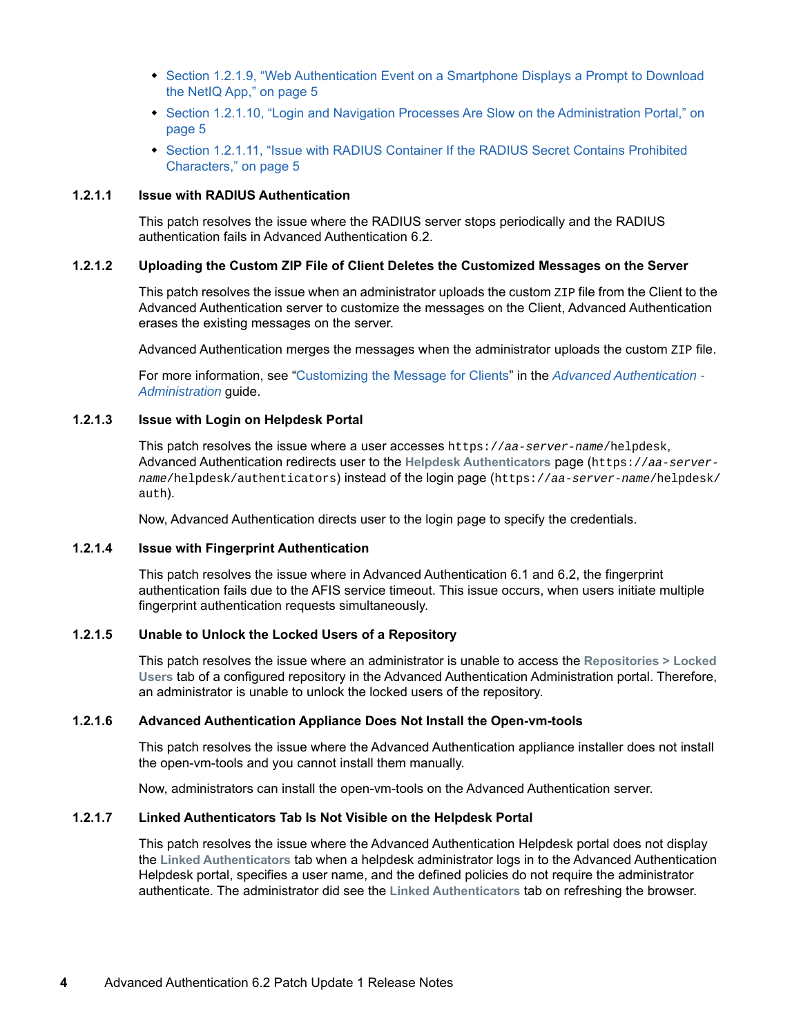- Section 1.2.1.9, "Web Authentication Event on a Smartphone Displays a Prompt to Download [the NetIQ App," on page 5](#page-4-2)
- [Section 1.2.1.10, "Login and Navigation Processes Are Slow on the Administration Portal," on](#page-4-3)  [page 5](#page-4-3)
- [Section 1.2.1.11, "Issue with RADIUS Container If the RADIUS Secret Contains Prohibited](#page-4-4)  [Characters," on page 5](#page-4-4)

#### <span id="page-3-0"></span>**1.2.1.1 Issue with RADIUS Authentication**

This patch resolves the issue where the RADIUS server stops periodically and the RADIUS authentication fails in Advanced Authentication 6.2.

#### <span id="page-3-1"></span>**1.2.1.2 Uploading the Custom ZIP File of Client Deletes the Customized Messages on the Server**

This patch resolves the issue when an administrator uploads the custom ZIP file from the Client to the Advanced Authentication server to customize the messages on the Client, Advanced Authentication erases the existing messages on the server.

Advanced Authentication merges the messages when the administrator uploads the custom ZIP file.

For more information, see ["Customizing the Message for Clients](https://www.netiq.com/documentation/advanced-authentication-62/pdfdoc/server-administrator-guide/server-administrator-guide.pdf#t497mw7tahh6)" in the *[Advanced Authentication -](https://www.netiq.com/documentation/advanced-authentication-62/pdfdoc/server-administrator-guide/server-administrator-guide.pdf#bookinfo)  Administration* guide.

#### <span id="page-3-2"></span>**1.2.1.3 Issue with Login on Helpdesk Portal**

This patch resolves the issue where a user accesses https://*aa-server-name*/helpdesk, Advanced Authentication redirects user to the **Helpdesk Authenticators** page (https://*aa-servername*/helpdesk/authenticators) instead of the login page (https://*aa-server-name*/helpdesk/ auth).

Now, Advanced Authentication directs user to the login page to specify the credentials.

#### <span id="page-3-3"></span>**1.2.1.4 Issue with Fingerprint Authentication**

This patch resolves the issue where in Advanced Authentication 6.1 and 6.2, the fingerprint authentication fails due to the AFIS service timeout. This issue occurs, when users initiate multiple fingerprint authentication requests simultaneously.

#### <span id="page-3-4"></span>**1.2.1.5 Unable to Unlock the Locked Users of a Repository**

This patch resolves the issue where an administrator is unable to access the **Repositories > Locked Users** tab of a configured repository in the Advanced Authentication Administration portal. Therefore, an administrator is unable to unlock the locked users of the repository.

#### <span id="page-3-5"></span>**1.2.1.6 Advanced Authentication Appliance Does Not Install the Open-vm-tools**

This patch resolves the issue where the Advanced Authentication appliance installer does not install the open-vm-tools and you cannot install them manually.

Now, administrators can install the open-vm-tools on the Advanced Authentication server.

#### <span id="page-3-6"></span>**1.2.1.7 Linked Authenticators Tab Is Not Visible on the Helpdesk Portal**

This patch resolves the issue where the Advanced Authentication Helpdesk portal does not display the **Linked Authenticators** tab when a helpdesk administrator logs in to the Advanced Authentication Helpdesk portal, specifies a user name, and the defined policies do not require the administrator authenticate. The administrator did see the **Linked Authenticators** tab on refreshing the browser.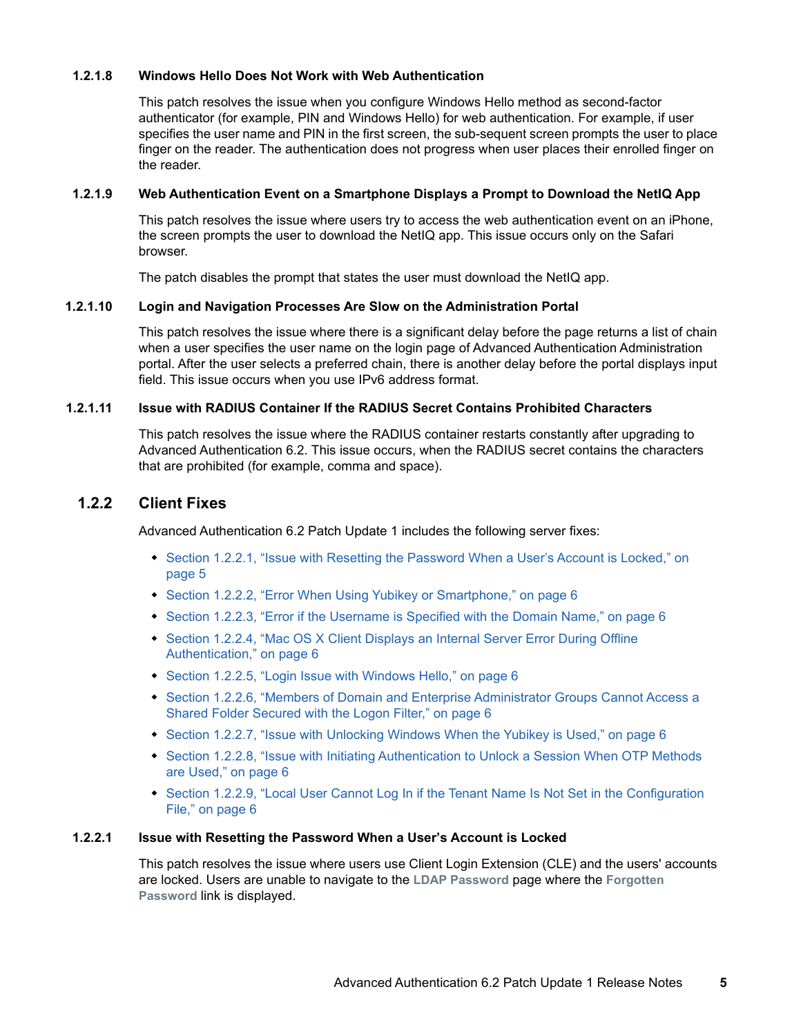#### <span id="page-4-1"></span>**1.2.1.8 Windows Hello Does Not Work with Web Authentication**

This patch resolves the issue when you configure Windows Hello method as second-factor authenticator (for example, PIN and Windows Hello) for web authentication. For example, if user specifies the user name and PIN in the first screen, the sub-sequent screen prompts the user to place finger on the reader. The authentication does not progress when user places their enrolled finger on the reader.

#### <span id="page-4-2"></span>**1.2.1.9 Web Authentication Event on a Smartphone Displays a Prompt to Download the NetIQ App**

This patch resolves the issue where users try to access the web authentication event on an iPhone, the screen prompts the user to download the NetIQ app. This issue occurs only on the Safari browser.

The patch disables the prompt that states the user must download the NetIQ app.

#### <span id="page-4-3"></span>**1.2.1.10 Login and Navigation Processes Are Slow on the Administration Portal**

This patch resolves the issue where there is a significant delay before the page returns a list of chain when a user specifies the user name on the login page of Advanced Authentication Administration portal. After the user selects a preferred chain, there is another delay before the portal displays input field. This issue occurs when you use IPv6 address format.

#### <span id="page-4-4"></span>**1.2.1.11 Issue with RADIUS Container If the RADIUS Secret Contains Prohibited Characters**

This patch resolves the issue where the RADIUS container restarts constantly after upgrading to Advanced Authentication 6.2. This issue occurs, when the RADIUS secret contains the characters that are prohibited (for example, comma and space).

#### <span id="page-4-0"></span>**1.2.2 Client Fixes**

Advanced Authentication 6.2 Patch Update 1 includes the following server fixes:

- ◆ Section 1.2.2.1, "Issue with Resetting the Password When a User's Account is Locked," on [page 5](#page-4-5)
- [Section 1.2.2.2, "Error When Using Yubikey or Smartphone," on page 6](#page-5-0)
- [Section 1.2.2.3, "Error if the Username is Specified with the Domain Name," on page 6](#page-5-1)
- ◆ Section 1.2.2.4, "Mac OS X Client Displays an Internal Server Error During Offline [Authentication," on page 6](#page-5-2)
- ◆ [Section 1.2.2.5, "Login Issue with Windows Hello," on page 6](#page-5-3)
- Section 1.2.2.6, "Members of Domain and Enterprise Administrator Groups Cannot Access a [Shared Folder Secured with the Logon Filter," on page 6](#page-5-4)
- [Section 1.2.2.7, "Issue with Unlocking Windows When the Yubikey is Used," on page 6](#page-5-5)
- Section 1.2.2.8, "Issue with Initiating Authentication to Unlock a Session When OTP Methods [are Used," on page 6](#page-5-6)
- Section 1.2.2.9, "Local User Cannot Log In if the Tenant Name Is Not Set in the Configuration [File," on page 6](#page-5-7)

#### <span id="page-4-5"></span>**1.2.2.1 Issue with Resetting the Password When a User's Account is Locked**

This patch resolves the issue where users use Client Login Extension (CLE) and the users' accounts are locked. Users are unable to navigate to the **LDAP Password** page where the **Forgotten Password** link is displayed.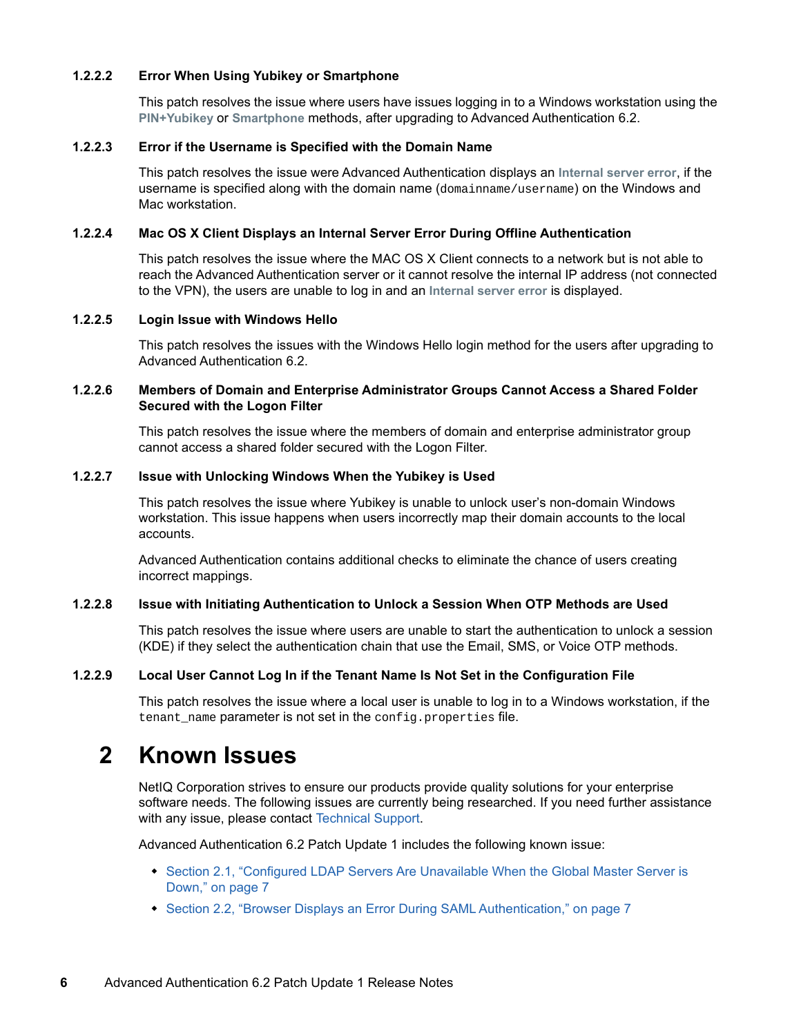#### <span id="page-5-0"></span>**1.2.2.2 Error When Using Yubikey or Smartphone**

This patch resolves the issue where users have issues logging in to a Windows workstation using the **PIN+Yubikey** or **Smartphone** methods, after upgrading to Advanced Authentication 6.2.

#### <span id="page-5-1"></span>**1.2.2.3 Error if the Username is Specified with the Domain Name**

This patch resolves the issue were Advanced Authentication displays an **Internal server error**, if the username is specified along with the domain name (domainname/username) on the Windows and Mac workstation.

#### <span id="page-5-2"></span>**1.2.2.4 Mac OS X Client Displays an Internal Server Error During Offline Authentication**

This patch resolves the issue where the MAC OS X Client connects to a network but is not able to reach the Advanced Authentication server or it cannot resolve the internal IP address (not connected to the VPN), the users are unable to log in and an **Internal server error** is displayed.

#### <span id="page-5-3"></span>**1.2.2.5 Login Issue with Windows Hello**

This patch resolves the issues with the Windows Hello login method for the users after upgrading to Advanced Authentication 6.2.

#### <span id="page-5-4"></span>**1.2.2.6 Members of Domain and Enterprise Administrator Groups Cannot Access a Shared Folder Secured with the Logon Filter**

This patch resolves the issue where the members of domain and enterprise administrator group cannot access a shared folder secured with the Logon Filter.

#### <span id="page-5-5"></span>**1.2.2.7 Issue with Unlocking Windows When the Yubikey is Used**

This patch resolves the issue where Yubikey is unable to unlock user's non-domain Windows workstation. This issue happens when users incorrectly map their domain accounts to the local accounts.

Advanced Authentication contains additional checks to eliminate the chance of users creating incorrect mappings.

#### <span id="page-5-6"></span>**1.2.2.8 Issue with Initiating Authentication to Unlock a Session When OTP Methods are Used**

This patch resolves the issue where users are unable to start the authentication to unlock a session (KDE) if they select the authentication chain that use the Email, SMS, or Voice OTP methods.

#### <span id="page-5-7"></span>**1.2.2.9 Local User Cannot Log In if the Tenant Name Is Not Set in the Configuration File**

This patch resolves the issue where a local user is unable to log in to a Windows workstation, if the tenant\_name parameter is not set in the config.properties file.

# **2 Known Issues**

NetIQ Corporation strives to ensure our products provide quality solutions for your enterprise software needs. The following issues are currently being researched. If you need further assistance with any issue, please contact [Technical Support](http://www.netiq.com/support).

Advanced Authentication 6.2 Patch Update 1 includes the following known issue:

- [Section 2.1, "Configured LDAP Servers Are Unavailable When the Global Master Server is](#page-6-1)  [Down," on page 7](#page-6-1)
- ◆ [Section 2.2, "Browser Displays an Error During SAML Authentication," on page 7](#page-6-0)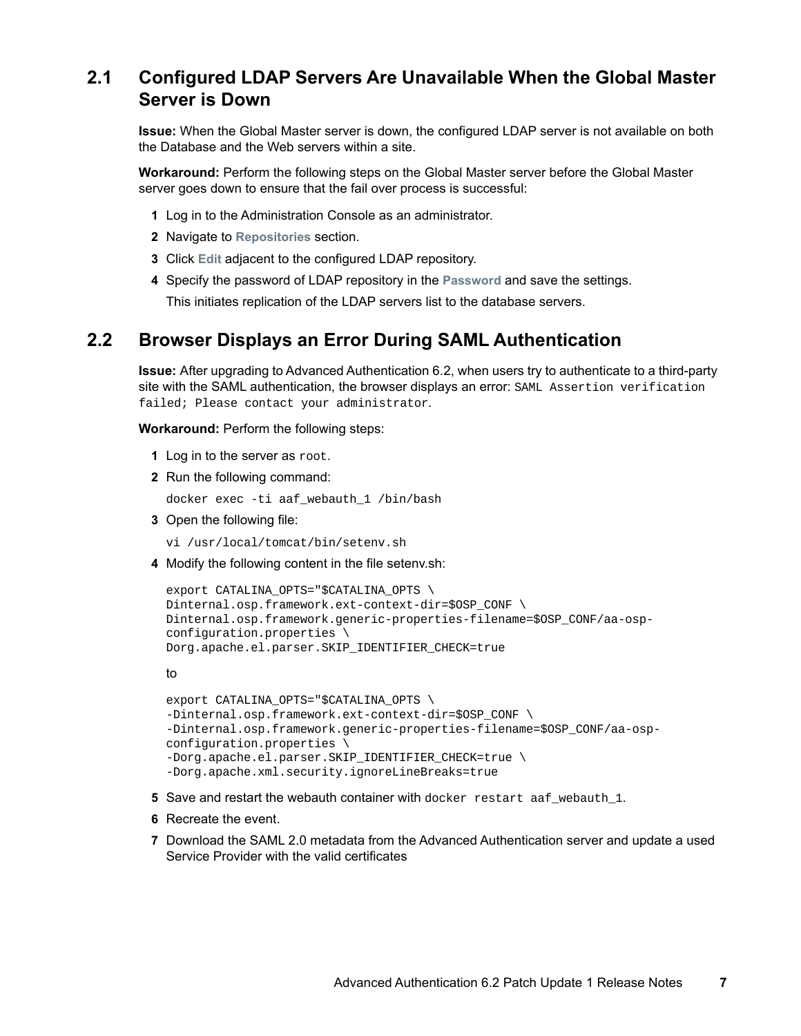# <span id="page-6-1"></span>**2.1 Configured LDAP Servers Are Unavailable When the Global Master Server is Down**

**Issue:** When the Global Master server is down, the configured LDAP server is not available on both the Database and the Web servers within a site.

**Workaround:** Perform the following steps on the Global Master server before the Global Master server goes down to ensure that the fail over process is successful:

- **1** Log in to the Administration Console as an administrator.
- **2** Navigate to **Repositories** section.
- **3** Click **Edit** adjacent to the configured LDAP repository.
- **4** Specify the password of LDAP repository in the **Password** and save the settings.

This initiates replication of the LDAP servers list to the database servers.

# <span id="page-6-0"></span>**2.2 Browser Displays an Error During SAML Authentication**

**Issue:** After upgrading to Advanced Authentication 6.2, when users try to authenticate to a third-party site with the SAML authentication, the browser displays an error: SAML Assertion verification failed; Please contact your administrator.

**Workaround:** Perform the following steps:

- **1** Log in to the server as root.
- **2** Run the following command:

docker exec -ti aaf\_webauth 1 /bin/bash

**3** Open the following file:

vi /usr/local/tomcat/bin/setenv.sh

**4** Modify the following content in the file setenv.sh:

```
export CATALINA OPTS="$CATALINA OPTS \
Dinternal.osp.framework.ext-context-dir=$OSP_CONF \
Dinternal.osp.framework.generic-properties-filename=$OSP_CONF/aa-osp-
configuration.properties \
Dorg.apache.el.parser.SKIP_IDENTIFIER_CHECK=true
```
to

```
export CATALINA_OPTS="$CATALINA_OPTS \
-Dinternal.osp.framework.ext-context-dir=$OSP_CONF \
-Dinternal.osp.framework.generic-properties-filename=$OSP_CONF/aa-osp-
configuration.properties \
-Dorg.apache.el.parser.SKIP_IDENTIFIER_CHECK=true \
-Dorg.apache.xml.security.ignoreLineBreaks=true
```
- **5** Save and restart the webauth container with docker restart aaf\_webauth\_1.
- **6** Recreate the event.
- **7** Download the SAML 2.0 metadata from the Advanced Authentication server and update a used Service Provider with the valid certificates